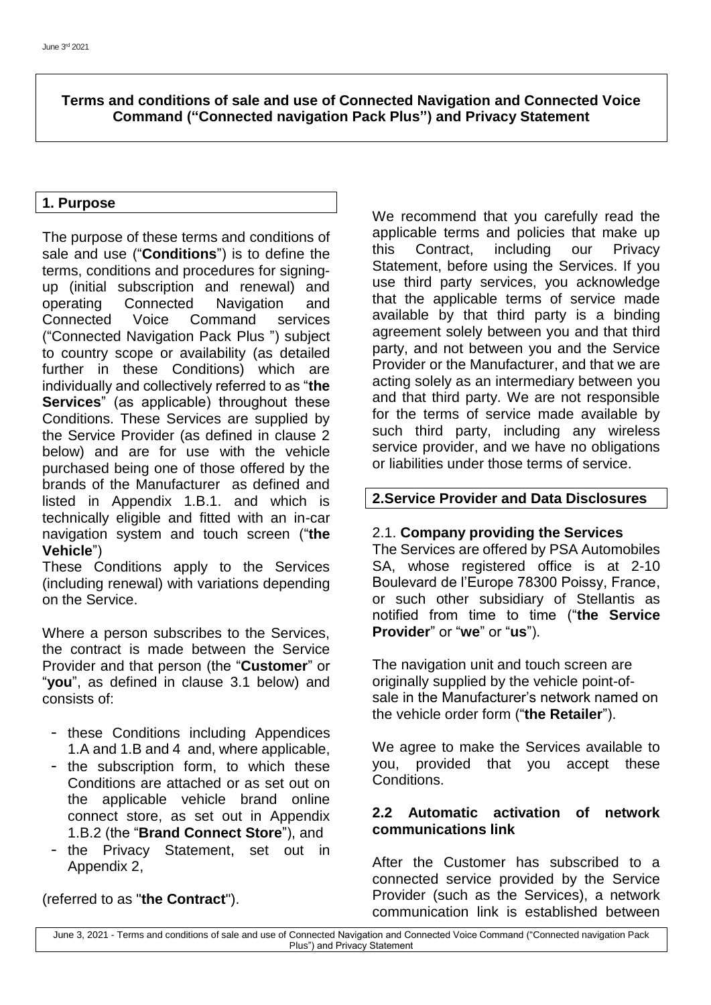**Terms and conditions of sale and use of Connected Navigation and Connected Voice Command ("Connected navigation Pack Plus") and Privacy Statement**

# **1. Purpose**

The purpose of these terms and conditions of sale and use ("**Conditions**") is to define the terms, conditions and procedures for signingup (initial subscription and renewal) and operating Connected Navigation and Connected Voice Command services ("Connected Navigation Pack Plus ") subject to country scope or availability (as detailed further in these Conditions) which are individually and collectively referred to as "**the Services**" (as applicable) throughout these Conditions. These Services are supplied by the Service Provider (as defined in clause 2 below) and are for use with the vehicle purchased being one of those offered by the brands of the Manufacturer as defined and listed in Appendix 1.B.1. and which is technically eligible and fitted with an in-car navigation system and touch screen ("**the Vehicle**")

These Conditions apply to the Services (including renewal) with variations depending on the Service.

Where a person subscribes to the Services, the contract is made between the Service Provider and that person (the "**Customer**" or "**you**", as defined in clause 3.1 below) and consists of:

- these Conditions including Appendices 1.A and 1.B and 4 and, where applicable,
- the subscription form, to which these Conditions are attached or as set out on the applicable vehicle brand online connect store, as set out in Appendix 1.B.2 (the "**Brand Connect Store**"), and
- the Privacy Statement, set out in Appendix 2,

# (referred to as "**the Contract**").

We recommend that you carefully read the applicable terms and policies that make up this Contract, including our Privacy Statement, before using the Services. If you use third party services, you acknowledge that the applicable terms of service made available by that third party is a binding agreement solely between you and that third party, and not between you and the Service Provider or the Manufacturer, and that we are acting solely as an intermediary between you and that third party. We are not responsible for the terms of service made available by such third party, including any wireless service provider, and we have no obligations or liabilities under those terms of service.

## **2.Service Provider and Data Disclosures**

### 2.1. **Company providing the Services**

The Services are offered by PSA Automobiles SA, whose registered office is at 2-10 Boulevard de l'Europe 78300 Poissy, France, or such other subsidiary of Stellantis as notified from time to time ("**the Service Provider**" or "**we**" or "**us**").

The navigation unit and touch screen are originally supplied by the vehicle point-ofsale in the Manufacturer's network named on the vehicle order form ("**the Retailer**").

We agree to make the Services available to you, provided that you accept these Conditions.

### **2.2 Automatic activation of network communications link**

After the Customer has subscribed to a connected service provided by the Service Provider (such as the Services), a network communication link is established between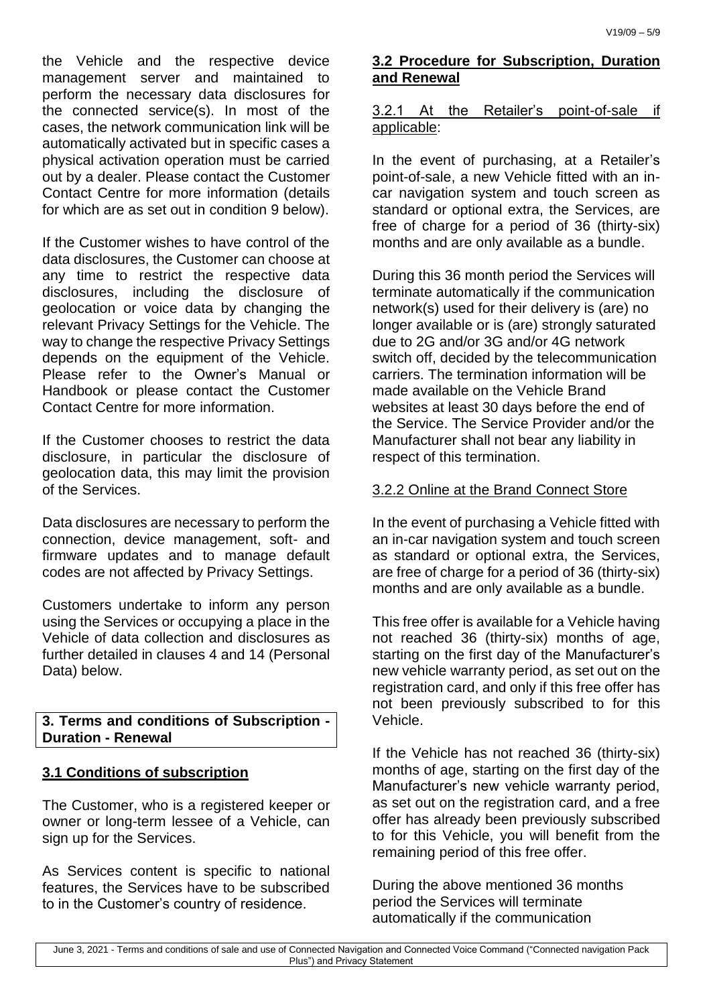the Vehicle and the respective device management server and maintained to perform the necessary data disclosures for the connected service(s). In most of the cases, the network communication link will be automatically activated but in specific cases a physical activation operation must be carried out by a dealer. Please contact the Customer Contact Centre for more information (details for which are as set out in condition 9 below).

If the Customer wishes to have control of the data disclosures, the Customer can choose at any time to restrict the respective data disclosures, including the disclosure of geolocation or voice data by changing the relevant Privacy Settings for the Vehicle. The way to change the respective Privacy Settings depends on the equipment of the Vehicle. Please refer to the Owner's Manual or Handbook or please contact the Customer Contact Centre for more information.

If the Customer chooses to restrict the data disclosure, in particular the disclosure of geolocation data, this may limit the provision of the Services.

Data disclosures are necessary to perform the connection, device management, soft- and firmware updates and to manage default codes are not affected by Privacy Settings.

Customers undertake to inform any person using the Services or occupying a place in the Vehicle of data collection and disclosures as further detailed in clauses 4 and 14 (Personal Data) below.

## **3. Terms and conditions of Subscription - Duration - Renewal**

# **3.1 Conditions of subscription**

The Customer, who is a registered keeper or owner or long-term lessee of a Vehicle, can sign up for the Services.

As Services content is specific to national features, the Services have to be subscribed to in the Customer's country of residence.

# **3.2 Procedure for Subscription, Duration and Renewal**

# 3.2.1 At the Retailer's point-of-sale if applicable:

In the event of purchasing, at a Retailer's point-of-sale, a new Vehicle fitted with an incar navigation system and touch screen as standard or optional extra, the Services, are free of charge for a period of 36 (thirty-six) months and are only available as a bundle.

During this 36 month period the Services will terminate automatically if the communication network(s) used for their delivery is (are) no longer available or is (are) strongly saturated due to 2G and/or 3G and/or 4G network switch off, decided by the telecommunication carriers. The termination information will be made available on the Vehicle Brand websites at least 30 days before the end of the Service. The Service Provider and/or the Manufacturer shall not bear any liability in respect of this termination.

# 3.2.2 Online at the Brand Connect Store

In the event of purchasing a Vehicle fitted with an in-car navigation system and touch screen as standard or optional extra, the Services, are free of charge for a period of 36 (thirty-six) months and are only available as a bundle.

This free offer is available for a Vehicle having not reached 36 (thirty-six) months of age, starting on the first day of the Manufacturer's new vehicle warranty period, as set out on the registration card, and only if this free offer has not been previously subscribed to for this Vehicle.

If the Vehicle has not reached 36 (thirty-six) months of age, starting on the first day of the Manufacturer's new vehicle warranty period, as set out on the registration card, and a free offer has already been previously subscribed to for this Vehicle, you will benefit from the remaining period of this free offer.

During the above mentioned 36 months period the Services will terminate automatically if the communication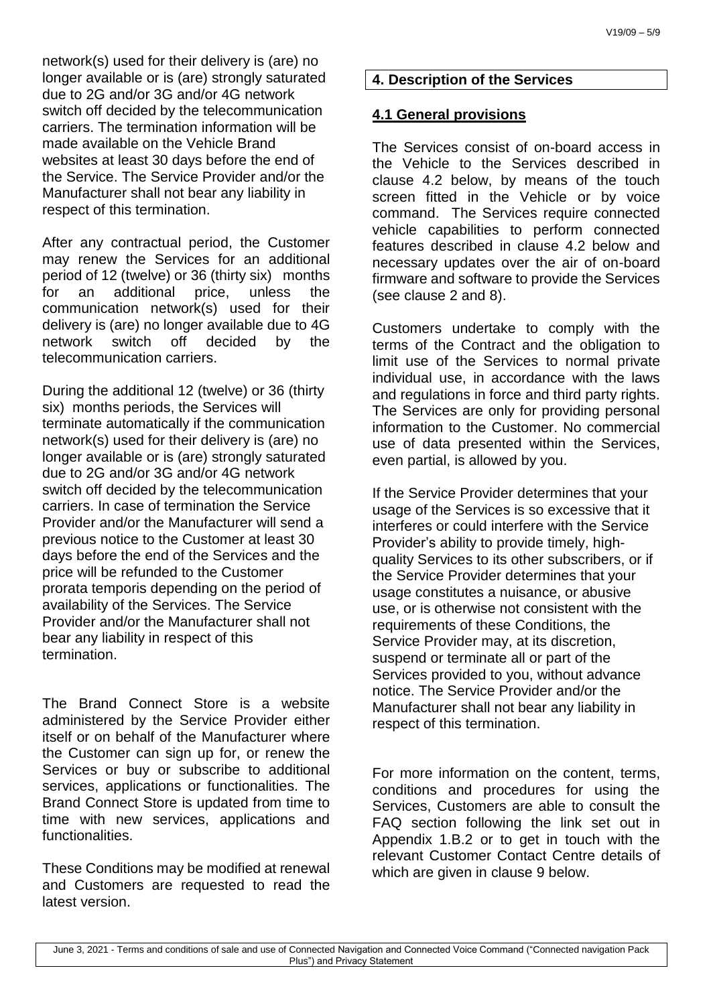network(s) used for their delivery is (are) no longer available or is (are) strongly saturated due to 2G and/or 3G and/or 4G network switch off decided by the telecommunication carriers. The termination information will be made available on the Vehicle Brand websites at least 30 days before the end of the Service. The Service Provider and/or the Manufacturer shall not bear any liability in respect of this termination.

After any contractual period, the Customer may renew the Services for an additional period of 12 (twelve) or 36 (thirty six) months for an additional price, unless the communication network(s) used for their delivery is (are) no longer available due to 4G network switch off decided by the telecommunication carriers.

During the additional 12 (twelve) or 36 (thirty six) months periods, the Services will terminate automatically if the communication network(s) used for their delivery is (are) no longer available or is (are) strongly saturated due to 2G and/or 3G and/or 4G network switch off decided by the telecommunication carriers. In case of termination the Service Provider and/or the Manufacturer will send a previous notice to the Customer at least 30 days before the end of the Services and the price will be refunded to the Customer prorata temporis depending on the period of availability of the Services. The Service Provider and/or the Manufacturer shall not bear any liability in respect of this termination.

The Brand Connect Store is a website administered by the Service Provider either itself or on behalf of the Manufacturer where the Customer can sign up for, or renew the Services or buy or subscribe to additional services, applications or functionalities. The Brand Connect Store is updated from time to time with new services, applications and **functionalities** 

These Conditions may be modified at renewal and Customers are requested to read the latest version.

# **4. Description of the Services**

# **4.1 General provisions**

The Services consist of on-board access in the Vehicle to the Services described in clause 4.2 below, by means of the touch screen fitted in the Vehicle or by voice command. The Services require connected vehicle capabilities to perform connected features described in clause 4.2 below and necessary updates over the air of on-board firmware and software to provide the Services (see clause 2 and 8).

Customers undertake to comply with the terms of the Contract and the obligation to limit use of the Services to normal private individual use, in accordance with the laws and regulations in force and third party rights. The Services are only for providing personal information to the Customer. No commercial use of data presented within the Services, even partial, is allowed by you.

If the Service Provider determines that your usage of the Services is so excessive that it interferes or could interfere with the Service Provider's ability to provide timely, highquality Services to its other subscribers, or if the Service Provider determines that your usage constitutes a nuisance, or abusive use, or is otherwise not consistent with the requirements of these Conditions, the Service Provider may, at its discretion, suspend or terminate all or part of the Services provided to you, without advance notice. The Service Provider and/or the Manufacturer shall not bear any liability in respect of this termination.

For more information on the content, terms, conditions and procedures for using the Services, Customers are able to consult the FAQ section following the link set out in Appendix 1.B.2 or to get in touch with the relevant Customer Contact Centre details of which are given in clause 9 below.

June 3, 2021 - Terms and conditions of sale and use of Connected Navigation and Connected Voice Command ("Connected navigation Pack Plus") and Privacy Statement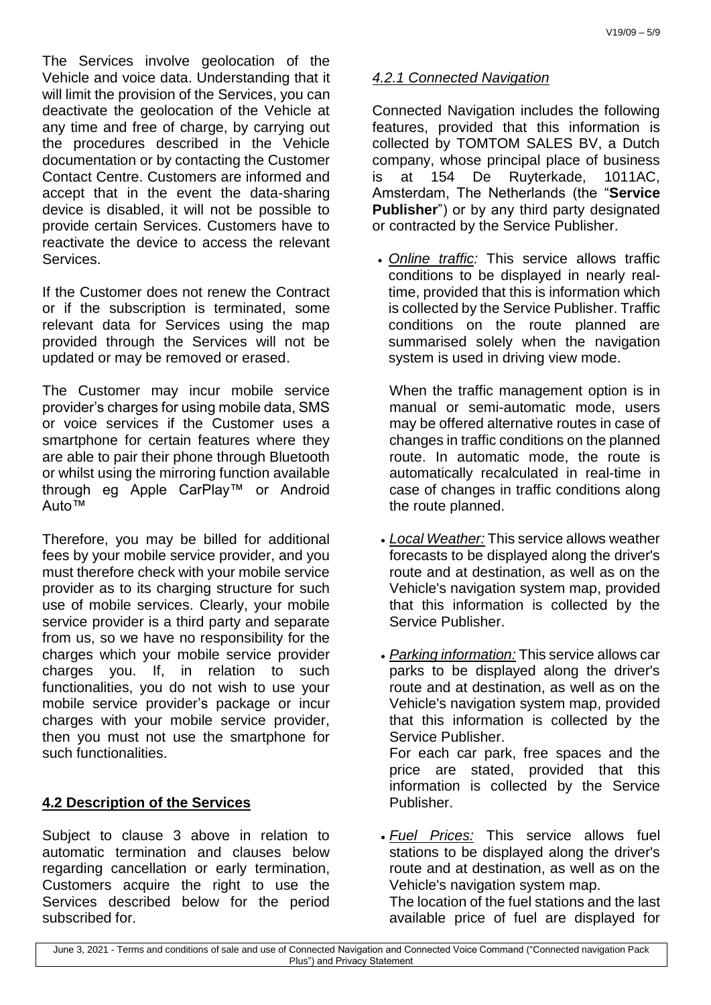The Services involve geolocation of the Vehicle and voice data. Understanding that it will limit the provision of the Services, you can deactivate the geolocation of the Vehicle at any time and free of charge, by carrying out the procedures described in the Vehicle documentation or by contacting the Customer Contact Centre. Customers are informed and accept that in the event the data-sharing device is disabled, it will not be possible to provide certain Services. Customers have to reactivate the device to access the relevant Services.

If the Customer does not renew the Contract or if the subscription is terminated, some relevant data for Services using the map provided through the Services will not be updated or may be removed or erased.

The Customer may incur mobile service provider's charges for using mobile data, SMS or voice services if the Customer uses a smartphone for certain features where they are able to pair their phone through Bluetooth or whilst using the mirroring function available through eg Apple CarPlay™ or Android Auto™

Therefore, you may be billed for additional fees by your mobile service provider, and you must therefore check with your mobile service provider as to its charging structure for such use of mobile services. Clearly, your mobile service provider is a third party and separate from us, so we have no responsibility for the charges which your mobile service provider charges you. If, in relation to such functionalities, you do not wish to use your mobile service provider's package or incur charges with your mobile service provider, then you must not use the smartphone for such functionalities.

# **4.2 Description of the Services**

Subject to clause 3 above in relation to automatic termination and clauses below regarding cancellation or early termination, Customers acquire the right to use the Services described below for the period subscribed for.

# *4.2.1 Connected Navigation*

Connected Navigation includes the following features, provided that this information is collected by TOMTOM SALES BV, a Dutch company, whose principal place of business is at 154 De Ruyterkade, 1011AC, Amsterdam, The Netherlands (the "**Service Publisher**") or by any third party designated or contracted by the Service Publisher.

 *Online traffic:* This service allows traffic conditions to be displayed in nearly realtime, provided that this is information which is collected by the Service Publisher. Traffic conditions on the route planned are summarised solely when the navigation system is used in driving view mode.

When the traffic management option is in manual or semi-automatic mode, users may be offered alternative routes in case of changes in traffic conditions on the planned route. In automatic mode, the route is automatically recalculated in real-time in case of changes in traffic conditions along the route planned.

- *Local Weather:* This service allows weather forecasts to be displayed along the driver's route and at destination, as well as on the Vehicle's navigation system map, provided that this information is collected by the Service Publisher.
- *Parking information:* This service allows car parks to be displayed along the driver's route and at destination, as well as on the Vehicle's navigation system map, provided that this information is collected by the Service Publisher. For each car park, free spaces and the price are stated, provided that this information is collected by the Service Publisher.
- *Fuel Prices:* This service allows fuel stations to be displayed along the driver's route and at destination, as well as on the Vehicle's navigation system map. The location of the fuel stations and the last available price of fuel are displayed for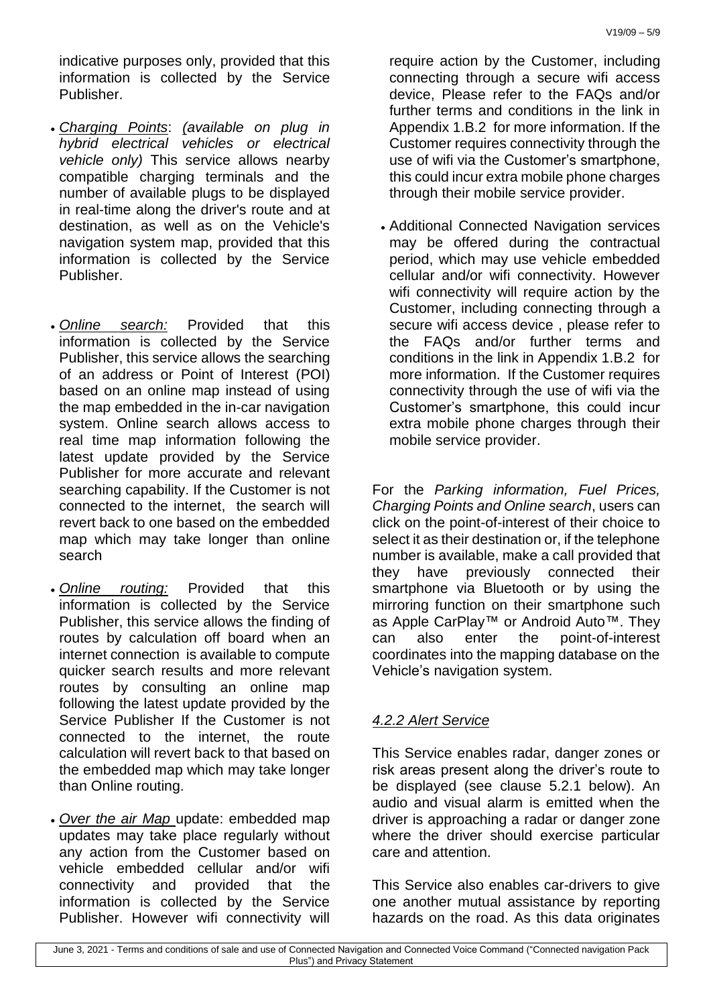indicative purposes only, provided that this information is collected by the Service Publisher.

- *Charging Points*: *(available on plug in hybrid electrical vehicles or electrical vehicle only)* This service allows nearby compatible charging terminals and the number of available plugs to be displayed in real-time along the driver's route and at destination, as well as on the Vehicle's navigation system map, provided that this information is collected by the Service Publisher.
- *Online search:* Provided that this information is collected by the Service Publisher, this service allows the searching of an address or Point of Interest (POI) based on an online map instead of using the map embedded in the in-car navigation system. Online search allows access to real time map information following the latest update provided by the Service Publisher for more accurate and relevant searching capability. If the Customer is not connected to the internet, the search will revert back to one based on the embedded map which may take longer than online search
- *Online routing:* Provided that this information is collected by the Service Publisher, this service allows the finding of routes by calculation off board when an internet connection is available to compute quicker search results and more relevant routes by consulting an online map following the latest update provided by the Service Publisher If the Customer is not connected to the internet, the route calculation will revert back to that based on the embedded map which may take longer than Online routing.
- *Over the air Map* update: embedded map updates may take place regularly without any action from the Customer based on vehicle embedded cellular and/or wifi connectivity and provided that the information is collected by the Service Publisher. However wifi connectivity will

require action by the Customer, including connecting through a secure wifi access device, Please refer to the FAQs and/or further terms and conditions in the link in Appendix 1.B.2 for more information. If the Customer requires connectivity through the use of wifi via the Customer's smartphone, this could incur extra mobile phone charges through their mobile service provider.

 Additional Connected Navigation services may be offered during the contractual period, which may use vehicle embedded cellular and/or wifi connectivity. However wifi connectivity will require action by the Customer, including connecting through a secure wifi access device , please refer to the FAQs and/or further terms and conditions in the link in Appendix 1.B.2 for more information. If the Customer requires connectivity through the use of wifi via the Customer's smartphone, this could incur extra mobile phone charges through their mobile service provider.

For the *Parking information, Fuel Prices, Charging Points and Online search*, users can click on the point-of-interest of their choice to select it as their destination or, if the telephone number is available, make a call provided that they have previously connected their smartphone via Bluetooth or by using the mirroring function on their smartphone such as Apple CarPlay™ or Android Auto™. They can also enter the point-of-interest coordinates into the mapping database on the Vehicle's navigation system.

# *4.2.2 Alert Service*

This Service enables radar, danger zones or risk areas present along the driver's route to be displayed (see clause 5.2.1 below). An audio and visual alarm is emitted when the driver is approaching a radar or danger zone where the driver should exercise particular care and attention.

This Service also enables car-drivers to give one another mutual assistance by reporting hazards on the road. As this data originates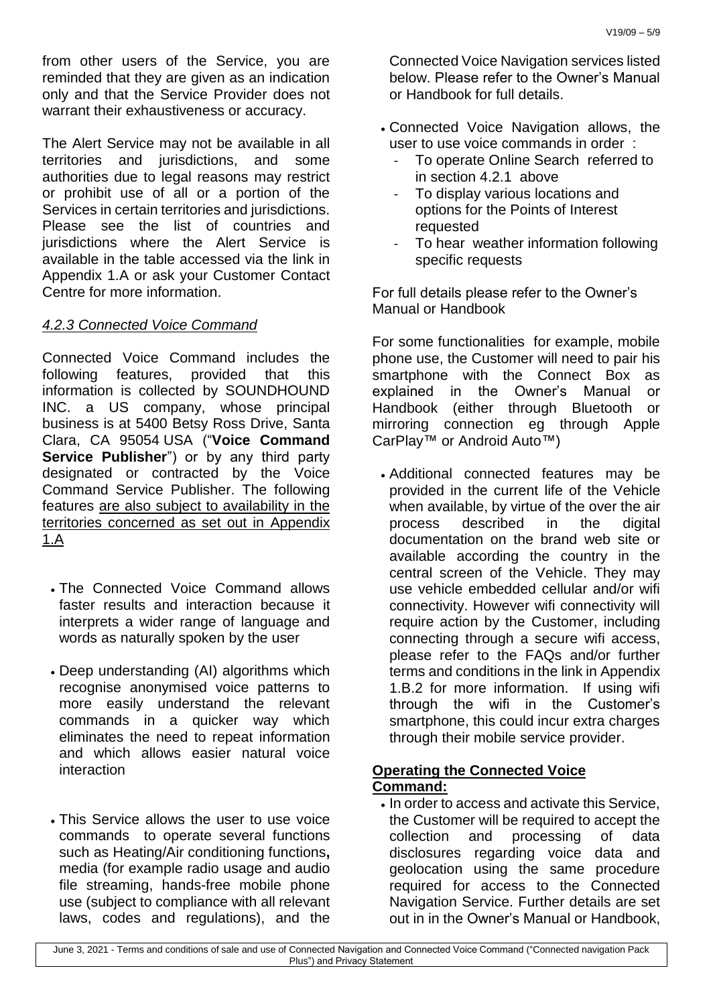from other users of the Service, you are reminded that they are given as an indication only and that the Service Provider does not warrant their exhaustiveness or accuracy.

The Alert Service may not be available in all territories and jurisdictions, and some authorities due to legal reasons may restrict or prohibit use of all or a portion of the Services in certain territories and jurisdictions. Please see the list of countries and jurisdictions where the Alert Service is available in the table accessed via the link in Appendix 1.A or ask your Customer Contact Centre for more information.

## *4.2.3 Connected Voice Command*

Connected Voice Command includes the following features, provided that this information is collected by SOUNDHOUND INC. a US company, whose principal business is at 5400 Betsy Ross Drive, Santa Clara, CA 95054 USA ("**Voice Command Service Publisher**") or by any third party designated or contracted by the Voice Command Service Publisher. The following features are also subject to availability in the territories concerned as set out in Appendix 1.A

- The Connected Voice Command allows faster results and interaction because it interprets a wider range of language and words as naturally spoken by the user
- Deep understanding (AI) algorithms which recognise anonymised voice patterns to more easily understand the relevant commands in a quicker way which eliminates the need to repeat information and which allows easier natural voice interaction
- This Service allows the user to use voice commands to operate several functions such as Heating/Air conditioning functions**,** media (for example radio usage and audio file streaming, hands-free mobile phone use (subject to compliance with all relevant laws, codes and regulations), and the

Connected Voice Navigation services listed below. Please refer to the Owner's Manual or Handbook for full details.

- Connected Voice Navigation allows, the user to use voice commands in order :
	- To operate Online Search referred to in section 4.2.1 above
	- To display various locations and options for the Points of Interest requested
	- To hear weather information following specific requests

For full details please refer to the Owner's Manual or Handbook

For some functionalities for example, mobile phone use, the Customer will need to pair his smartphone with the Connect Box as explained in the Owner's Manual or Handbook (either through Bluetooth or mirroring connection eg through Apple CarPlay™ or Android Auto™)

 Additional connected features may be provided in the current life of the Vehicle when available, by virtue of the over the air process described in the digital documentation on the brand web site or available according the country in the central screen of the Vehicle. They may use vehicle embedded cellular and/or wifi connectivity. However wifi connectivity will require action by the Customer, including connecting through a secure wifi access, please refer to the FAQs and/or further terms and conditions in the link in Appendix 1.B.2 for more information. If using wifi through the wifi in the Customer's smartphone, this could incur extra charges through their mobile service provider.

### **Operating the Connected Voice Command:**

. In order to access and activate this Service, the Customer will be required to accept the collection and processing of data disclosures regarding voice data and geolocation using the same procedure required for access to the Connected Navigation Service. Further details are set out in in the Owner's Manual or Handbook,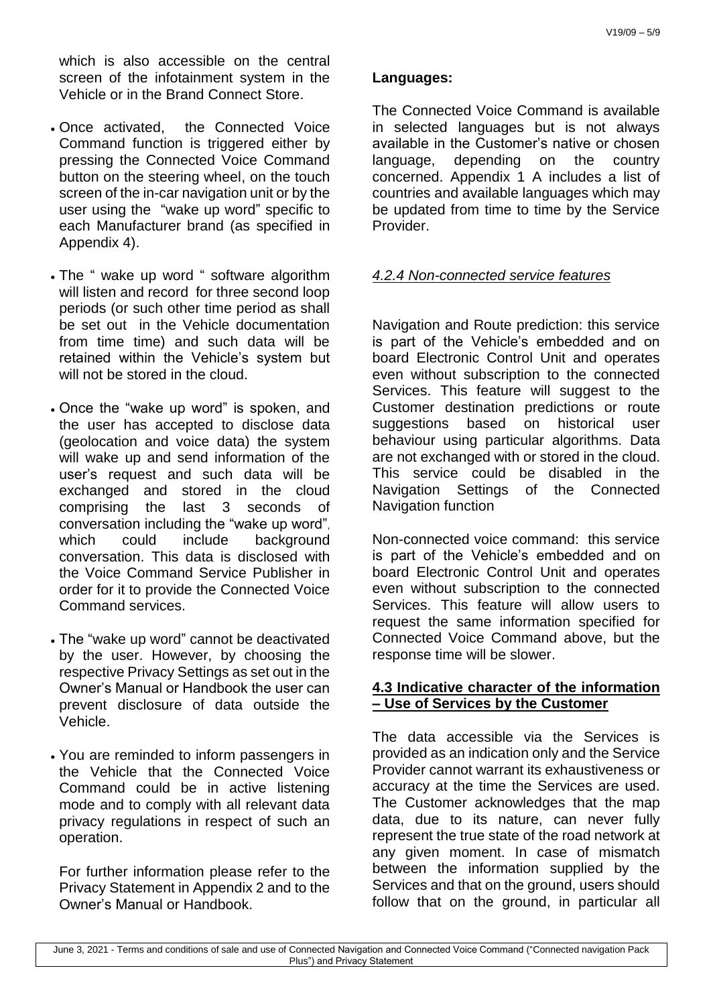which is also accessible on the central screen of the infotainment system in the Vehicle or in the Brand Connect Store.

- Once activated, the Connected Voice Command function is triggered either by pressing the Connected Voice Command button on the steering wheel, on the touch screen of the in-car navigation unit or by the user using the "wake up word" specific to each Manufacturer brand (as specified in Appendix 4).
- The " wake up word " software algorithm will listen and record for three second loop periods (or such other time period as shall be set out in the Vehicle documentation from time time) and such data will be retained within the Vehicle's system but will not be stored in the cloud.
- Once the "wake up word" is spoken, and the user has accepted to disclose data (geolocation and voice data) the system will wake up and send information of the user's request and such data will be exchanged and stored in the cloud comprising the last 3 seconds of conversation including the "wake up word", which could include background conversation. This data is disclosed with the Voice Command Service Publisher in order for it to provide the Connected Voice Command services.
- The "wake up word" cannot be deactivated by the user. However, by choosing the respective Privacy Settings as set out in the Owner's Manual or Handbook the user can prevent disclosure of data outside the Vehicle.
- You are reminded to inform passengers in the Vehicle that the Connected Voice Command could be in active listening mode and to comply with all relevant data privacy regulations in respect of such an operation.

For further information please refer to the Privacy Statement in Appendix 2 and to the Owner's Manual or Handbook.

### **Languages:**

The Connected Voice Command is available in selected languages but is not always available in the Customer's native or chosen language, depending on the country concerned. Appendix 1 A includes a list of countries and available languages which may be updated from time to time by the Service Provider.

# *4.2.4 Non-connected service features*

Navigation and Route prediction: this service is part of the Vehicle's embedded and on board Electronic Control Unit and operates even without subscription to the connected Services. This feature will suggest to the Customer destination predictions or route suggestions based on historical user behaviour using particular algorithms. Data are not exchanged with or stored in the cloud. This service could be disabled in the Navigation Settings of the Connected Navigation function

Non-connected voice command: this service is part of the Vehicle's embedded and on board Electronic Control Unit and operates even without subscription to the connected Services. This feature will allow users to request the same information specified for Connected Voice Command above, but the response time will be slower.

### **4.3 Indicative character of the information – Use of Services by the Customer**

The data accessible via the Services is provided as an indication only and the Service Provider cannot warrant its exhaustiveness or accuracy at the time the Services are used. The Customer acknowledges that the map data, due to its nature, can never fully represent the true state of the road network at any given moment. In case of mismatch between the information supplied by the Services and that on the ground, users should follow that on the ground, in particular all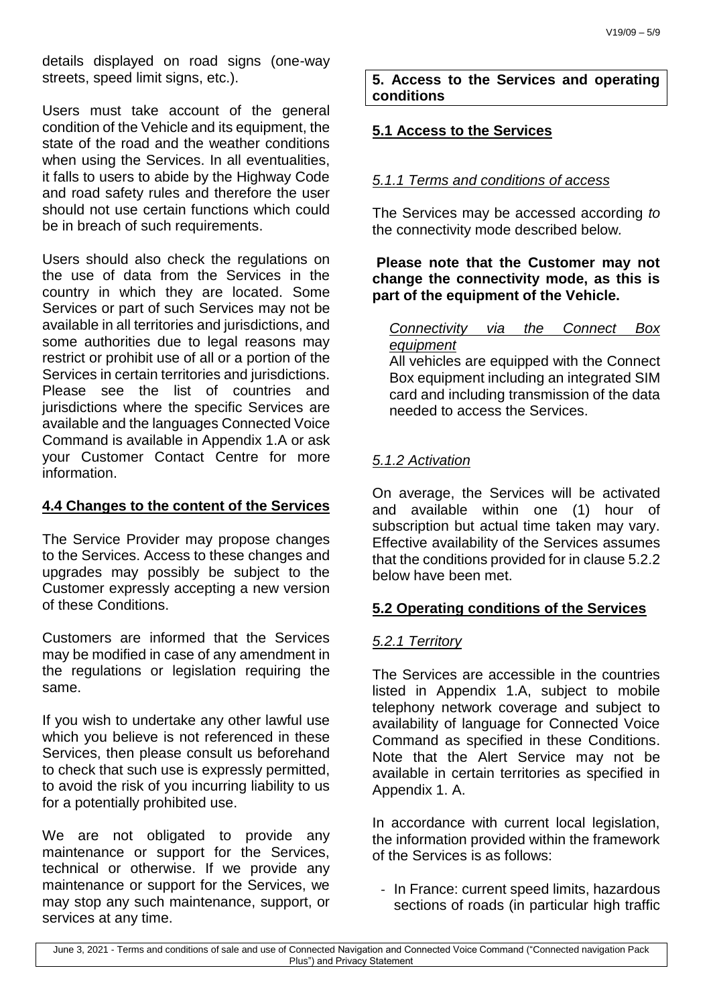details displayed on road signs (one-way streets, speed limit signs, etc.).

Users must take account of the general condition of the Vehicle and its equipment, the state of the road and the weather conditions when using the Services. In all eventualities, it falls to users to abide by the Highway Code and road safety rules and therefore the user should not use certain functions which could be in breach of such requirements.

Users should also check the regulations on the use of data from the Services in the country in which they are located. Some Services or part of such Services may not be available in all territories and jurisdictions, and some authorities due to legal reasons may restrict or prohibit use of all or a portion of the Services in certain territories and jurisdictions. Please see the list of countries and jurisdictions where the specific Services are available and the languages Connected Voice Command is available in Appendix 1.A or ask your Customer Contact Centre for more information.

### **4.4 Changes to the content of the Services**

The Service Provider may propose changes to the Services. Access to these changes and upgrades may possibly be subject to the Customer expressly accepting a new version of these Conditions.

Customers are informed that the Services may be modified in case of any amendment in the regulations or legislation requiring the same.

If you wish to undertake any other lawful use which you believe is not referenced in these Services, then please consult us beforehand to check that such use is expressly permitted, to avoid the risk of you incurring liability to us for a potentially prohibited use.

We are not obligated to provide any maintenance or support for the Services, technical or otherwise. If we provide any maintenance or support for the Services, we may stop any such maintenance, support, or services at any time.

**5. Access to the Services and operating conditions** 

# **5.1 Access to the Services**

# *5.1.1 Terms and conditions of access*

The Services may be accessed according *to*  the connectivity mode described below*.*

## **Please note that the Customer may not change the connectivity mode, as this is part of the equipment of the Vehicle.**

*Connectivity via the Connect Box equipment*  All vehicles are equipped with the Connect

Box equipment including an integrated SIM card and including transmission of the data needed to access the Services.

### *5.1.2 Activation*

On average, the Services will be activated and available within one (1) hour of subscription but actual time taken may vary. Effective availability of the Services assumes that the conditions provided for in clause 5.2.2 below have been met.

### **5.2 Operating conditions of the Services**

### *5.2.1 Territory*

The Services are accessible in the countries listed in Appendix 1.A, subject to mobile telephony network coverage and subject to availability of language for Connected Voice Command as specified in these Conditions. Note that the Alert Service may not be available in certain territories as specified in Appendix 1. A.

In accordance with current local legislation, the information provided within the framework of the Services is as follows:

- In France: current speed limits, hazardous sections of roads (in particular high traffic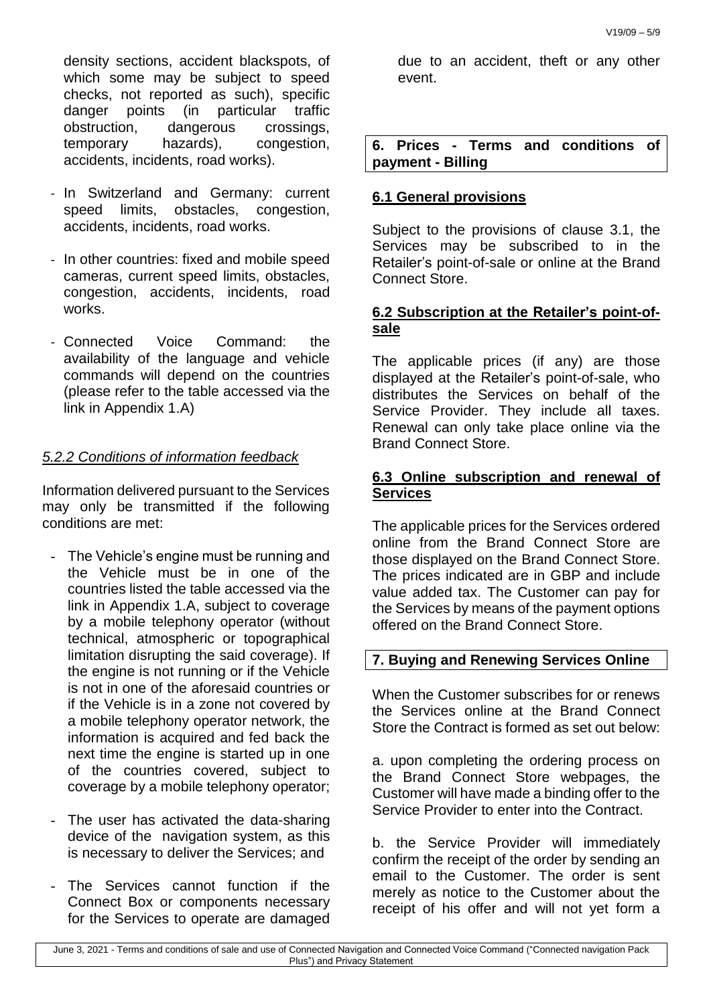density sections, accident blackspots, of which some may be subject to speed checks, not reported as such), specific danger points (in particular traffic obstruction, dangerous crossings, temporary hazards), congestion, accidents, incidents, road works).

- In Switzerland and Germany: current speed limits, obstacles, congestion, accidents, incidents, road works.
- In other countries: fixed and mobile speed cameras, current speed limits, obstacles, congestion, accidents, incidents, road works.
- Connected Voice Command: the availability of the language and vehicle commands will depend on the countries (please refer to the table accessed via the link in Appendix 1.A)

# *5.2.2 Conditions of information feedback*

Information delivered pursuant to the Services may only be transmitted if the following conditions are met:

- The Vehicle's engine must be running and the Vehicle must be in one of the countries listed the table accessed via the link in Appendix 1.A, subject to coverage by a mobile telephony operator (without technical, atmospheric or topographical limitation disrupting the said coverage). If the engine is not running or if the Vehicle is not in one of the aforesaid countries or if the Vehicle is in a zone not covered by a mobile telephony operator network, the information is acquired and fed back the next time the engine is started up in one of the countries covered, subject to coverage by a mobile telephony operator;
- The user has activated the data-sharing device of the navigation system, as this is necessary to deliver the Services; and
- The Services cannot function if the Connect Box or components necessary for the Services to operate are damaged

due to an accident, theft or any other event.

**6. Prices - Terms and conditions of payment - Billing**

# **6.1 General provisions**

Subject to the provisions of clause 3.1, the Services may be subscribed to in the Retailer's point-of-sale or online at the Brand Connect Store.

# **6.2 Subscription at the Retailer's point-ofsale**

The applicable prices (if any) are those displayed at the Retailer's point-of-sale, who distributes the Services on behalf of the Service Provider. They include all taxes. Renewal can only take place online via the Brand Connect Store.

# **6.3 Online subscription and renewal of Services**

The applicable prices for the Services ordered online from the Brand Connect Store are those displayed on the Brand Connect Store. The prices indicated are in GBP and include value added tax. The Customer can pay for the Services by means of the payment options offered on the Brand Connect Store.

# **7. Buying and Renewing Services Online**

When the Customer subscribes for or renews the Services online at the Brand Connect Store the Contract is formed as set out below:

a. upon completing the ordering process on the Brand Connect Store webpages, the Customer will have made a binding offer to the Service Provider to enter into the Contract.

b. the Service Provider will immediately confirm the receipt of the order by sending an email to the Customer. The order is sent merely as notice to the Customer about the receipt of his offer and will not yet form a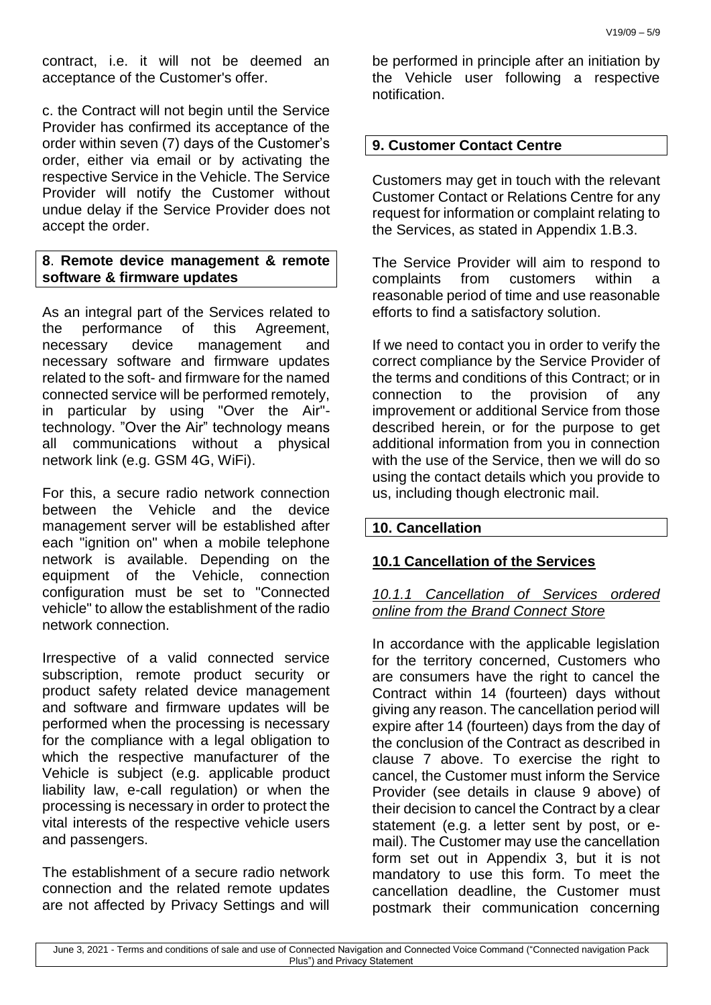contract, i.e. it will not be deemed an acceptance of the Customer's offer.

c. the Contract will not begin until the Service Provider has confirmed its acceptance of the order within seven (7) days of the Customer's order, either via email or by activating the respective Service in the Vehicle. The Service Provider will notify the Customer without undue delay if the Service Provider does not accept the order.

### **8**. **Remote device management & remote software & firmware updates**

As an integral part of the Services related to the performance of this Agreement, necessary device management and necessary software and firmware updates related to the soft- and firmware for the named connected service will be performed remotely, in particular by using "Over the Air" technology. "Over the Air" technology means all communications without a physical network link (e.g. GSM 4G, WiFi).

For this, a secure radio network connection between the Vehicle and the device management server will be established after each "ignition on" when a mobile telephone network is available. Depending on the equipment of the Vehicle, connection configuration must be set to "Connected vehicle" to allow the establishment of the radio network connection.

Irrespective of a valid connected service subscription, remote product security or product safety related device management and software and firmware updates will be performed when the processing is necessary for the compliance with a legal obligation to which the respective manufacturer of the Vehicle is subject (e.g. applicable product liability law, e-call regulation) or when the processing is necessary in order to protect the vital interests of the respective vehicle users and passengers.

The establishment of a secure radio network connection and the related remote updates are not affected by Privacy Settings and will be performed in principle after an initiation by the Vehicle user following a respective notification.

## **9. Customer Contact Centre**

Customers may get in touch with the relevant Customer Contact or Relations Centre for any request for information or complaint relating to the Services, as stated in Appendix 1.B.3.

The Service Provider will aim to respond to complaints from customers within a reasonable period of time and use reasonable efforts to find a satisfactory solution.

If we need to contact you in order to verify the correct compliance by the Service Provider of the terms and conditions of this Contract; or in connection to the provision of any improvement or additional Service from those described herein, or for the purpose to get additional information from you in connection with the use of the Service, then we will do so using the contact details which you provide to us, including though electronic mail.

### **10. Cancellation**

# **10.1 Cancellation of the Services**

#### *10.1.1 Cancellation of Services ordered online from the Brand Connect Store*

In accordance with the applicable legislation for the territory concerned, Customers who are consumers have the right to cancel the Contract within 14 (fourteen) days without giving any reason. The cancellation period will expire after 14 (fourteen) days from the day of the conclusion of the Contract as described in clause 7 above. To exercise the right to cancel, the Customer must inform the Service Provider (see details in clause 9 above) of their decision to cancel the Contract by a clear statement (e.g. a letter sent by post, or email). The Customer may use the cancellation form set out in Appendix 3, but it is not mandatory to use this form. To meet the cancellation deadline, the Customer must postmark their communication concerning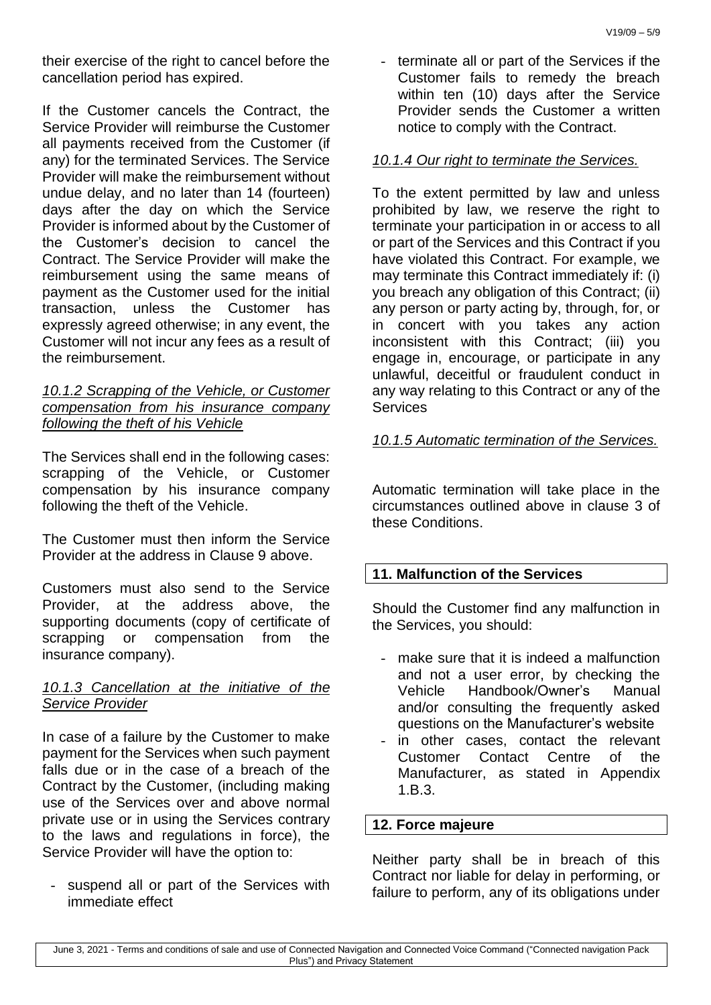their exercise of the right to cancel before the cancellation period has expired.

If the Customer cancels the Contract, the Service Provider will reimburse the Customer all payments received from the Customer (if any) for the terminated Services. The Service Provider will make the reimbursement without undue delay, and no later than 14 (fourteen) days after the day on which the Service Provider is informed about by the Customer of the Customer's decision to cancel the Contract. The Service Provider will make the reimbursement using the same means of payment as the Customer used for the initial transaction, unless the Customer has expressly agreed otherwise; in any event, the Customer will not incur any fees as a result of the reimbursement.

#### *10.1.2 Scrapping of the Vehicle, or Customer compensation from his insurance company following the theft of his Vehicle*

The Services shall end in the following cases: scrapping of the Vehicle, or Customer compensation by his insurance company following the theft of the Vehicle.

The Customer must then inform the Service Provider at the address in Clause 9 above.

Customers must also send to the Service Provider, at the address above, the supporting documents (copy of certificate of scrapping or compensation from the insurance company).

### *10.1.3 Cancellation at the initiative of the Service Provider*

In case of a failure by the Customer to make payment for the Services when such payment falls due or in the case of a breach of the Contract by the Customer, (including making use of the Services over and above normal private use or in using the Services contrary to the laws and regulations in force), the Service Provider will have the option to:

- suspend all or part of the Services with immediate effect

- terminate all or part of the Services if the Customer fails to remedy the breach within ten (10) days after the Service Provider sends the Customer a written notice to comply with the Contract.

## *10.1.4 Our right to terminate the Services.*

To the extent permitted by law and unless prohibited by law, we reserve the right to terminate your participation in or access to all or part of the Services and this Contract if you have violated this Contract. For example, we may terminate this Contract immediately if: (i) you breach any obligation of this Contract; (ii) any person or party acting by, through, for, or in concert with you takes any action inconsistent with this Contract; (iii) you engage in, encourage, or participate in any unlawful, deceitful or fraudulent conduct in any way relating to this Contract or any of the **Services** 

### *10.1.5 Automatic termination of the Services.*

Automatic termination will take place in the circumstances outlined above in clause 3 of these Conditions.

# **11. Malfunction of the Services**

Should the Customer find any malfunction in the Services, you should:

- make sure that it is indeed a malfunction and not a user error, by checking the Vehicle Handbook/Owner's Manual and/or consulting the frequently asked questions on the Manufacturer's website
- in other cases, contact the relevant Customer Contact Centre of the Manufacturer, as stated in Appendix 1.B.3.

### **12. Force majeure**

Neither party shall be in breach of this Contract nor liable for delay in performing, or failure to perform, any of its obligations under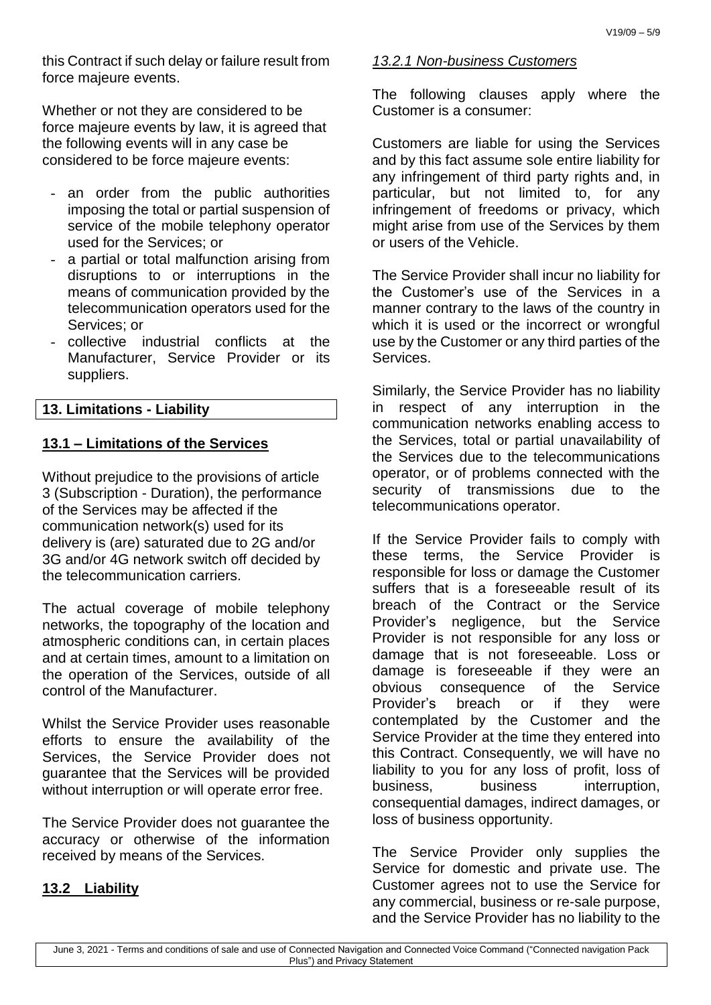this Contract if such delay or failure result from force majeure events.

Whether or not they are considered to be force majeure events by law, it is agreed that the following events will in any case be considered to be force majeure events:

- an order from the public authorities imposing the total or partial suspension of service of the mobile telephony operator used for the Services; or
- a partial or total malfunction arising from disruptions to or interruptions in the means of communication provided by the telecommunication operators used for the Services; or
- collective industrial conflicts at the Manufacturer, Service Provider or its suppliers.

### **13. Limitations - Liability**

### **13.1 – Limitations of the Services**

Without prejudice to the provisions of article 3 (Subscription - Duration), the performance of the Services may be affected if the communication network(s) used for its delivery is (are) saturated due to 2G and/or 3G and/or 4G network switch off decided by the telecommunication carriers.

The actual coverage of mobile telephony networks, the topography of the location and atmospheric conditions can, in certain places and at certain times, amount to a limitation on the operation of the Services, outside of all control of the Manufacturer.

Whilst the Service Provider uses reasonable efforts to ensure the availability of the Services, the Service Provider does not guarantee that the Services will be provided without interruption or will operate error free.

The Service Provider does not guarantee the accuracy or otherwise of the information received by means of the Services.

#### **13.2 Liability**

#### *13.2.1 Non-business Customers*

The following clauses apply where the Customer is a consumer:

Customers are liable for using the Services and by this fact assume sole entire liability for any infringement of third party rights and, in particular, but not limited to, for any infringement of freedoms or privacy, which might arise from use of the Services by them or users of the Vehicle.

The Service Provider shall incur no liability for the Customer's use of the Services in a manner contrary to the laws of the country in which it is used or the incorrect or wrongful use by the Customer or any third parties of the Services.

Similarly, the Service Provider has no liability in respect of any interruption in the communication networks enabling access to the Services, total or partial unavailability of the Services due to the telecommunications operator, or of problems connected with the security of transmissions due to the telecommunications operator.

If the Service Provider fails to comply with these terms, the Service Provider is responsible for loss or damage the Customer suffers that is a foreseeable result of its breach of the Contract or the Service Provider's negligence, but the Service Provider is not responsible for any loss or damage that is not foreseeable. Loss or damage is foreseeable if they were an obvious consequence of the Service Provider's breach or if they were contemplated by the Customer and the Service Provider at the time they entered into this Contract. Consequently, we will have no liability to you for any loss of profit, loss of business, business interruption, consequential damages, indirect damages, or loss of business opportunity.

The Service Provider only supplies the Service for domestic and private use. The Customer agrees not to use the Service for any commercial, business or re-sale purpose, and the Service Provider has no liability to the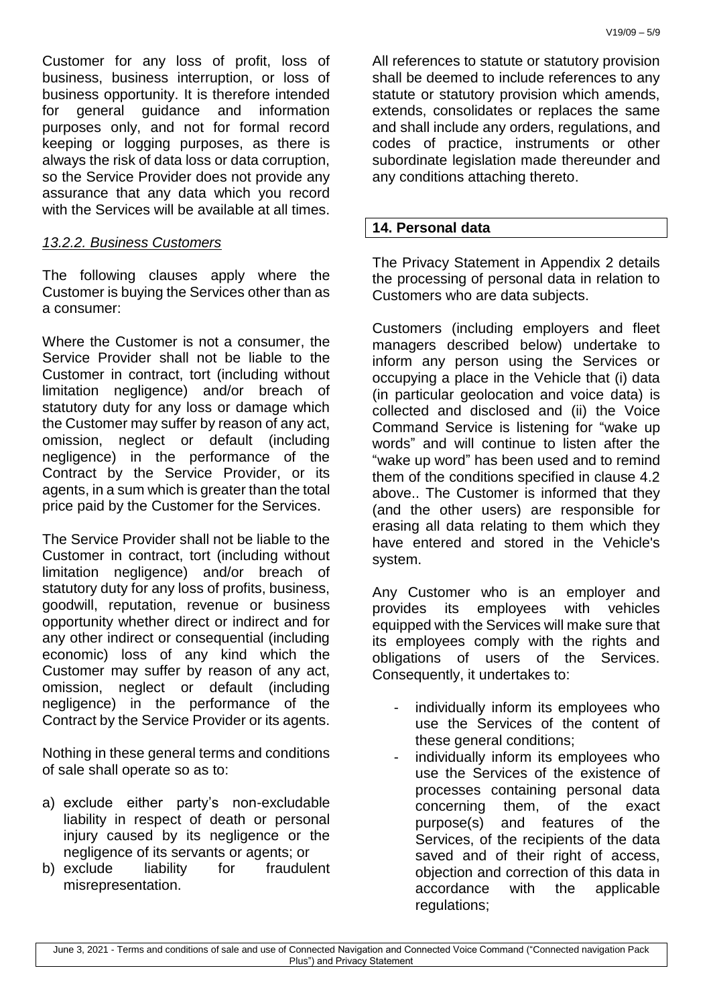Customer for any loss of profit, loss of business, business interruption, or loss of business opportunity. It is therefore intended for general guidance and information purposes only, and not for formal record keeping or logging purposes, as there is always the risk of data loss or data corruption, so the Service Provider does not provide any assurance that any data which you record with the Services will be available at all times.

### *13.2.2. Business Customers*

The following clauses apply where the Customer is buying the Services other than as a consumer:

Where the Customer is not a consumer, the Service Provider shall not be liable to the Customer in contract, tort (including without limitation negligence) and/or breach of statutory duty for any loss or damage which the Customer may suffer by reason of any act, omission, neglect or default (including negligence) in the performance of the Contract by the Service Provider, or its agents, in a sum which is greater than the total price paid by the Customer for the Services.

The Service Provider shall not be liable to the Customer in contract, tort (including without limitation negligence) and/or breach of statutory duty for any loss of profits, business, goodwill, reputation, revenue or business opportunity whether direct or indirect and for any other indirect or consequential (including economic) loss of any kind which the Customer may suffer by reason of any act, omission, neglect or default (including negligence) in the performance of the Contract by the Service Provider or its agents.

Nothing in these general terms and conditions of sale shall operate so as to:

- a) exclude either party's non-excludable liability in respect of death or personal injury caused by its negligence or the negligence of its servants or agents; or
- b) exclude liability for fraudulent misrepresentation.

All references to statute or statutory provision shall be deemed to include references to any statute or statutory provision which amends, extends, consolidates or replaces the same and shall include any orders, regulations, and codes of practice, instruments or other subordinate legislation made thereunder and any conditions attaching thereto.

## **14. Personal data**

The Privacy Statement in Appendix 2 details the processing of personal data in relation to Customers who are data subjects.

Customers (including employers and fleet managers described below) undertake to inform any person using the Services or occupying a place in the Vehicle that (i) data (in particular geolocation and voice data) is collected and disclosed and (ii) the Voice Command Service is listening for "wake up words" and will continue to listen after the "wake up word" has been used and to remind them of the conditions specified in clause 4.2 above.. The Customer is informed that they (and the other users) are responsible for erasing all data relating to them which they have entered and stored in the Vehicle's system.

Any Customer who is an employer and provides its employees with vehicles equipped with the Services will make sure that its employees comply with the rights and obligations of users of the Services. Consequently, it undertakes to:

- individually inform its employees who use the Services of the content of these general conditions;
- individually inform its employees who use the Services of the existence of processes containing personal data concerning them, of the exact purpose(s) and features of the Services, of the recipients of the data saved and of their right of access, objection and correction of this data in accordance with the applicable regulations;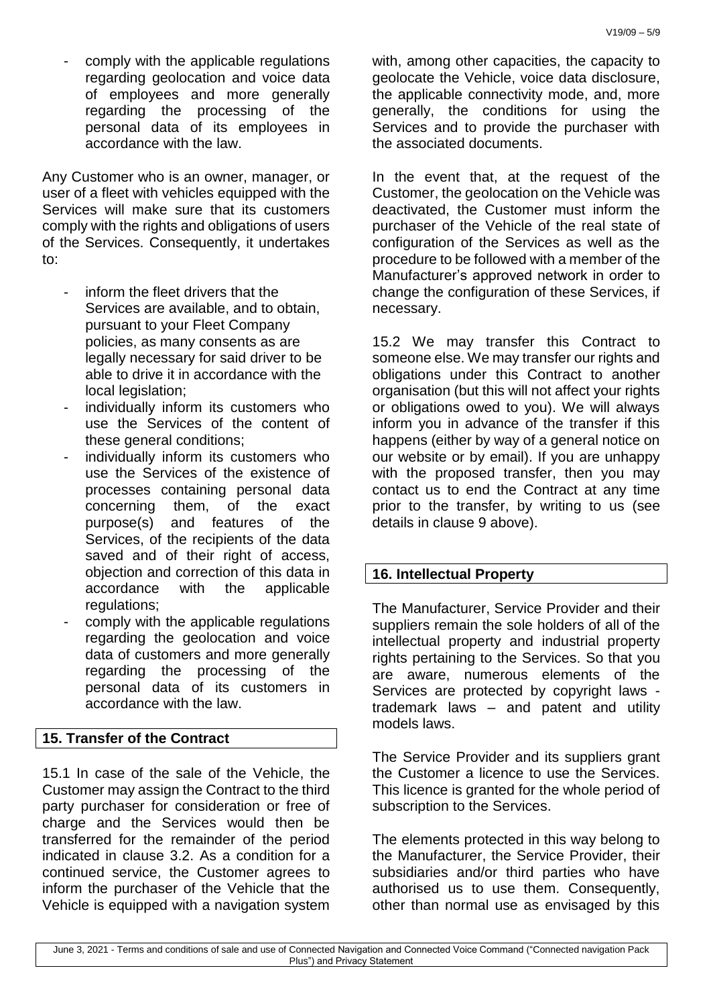comply with the applicable regulations regarding geolocation and voice data of employees and more generally regarding the processing of the personal data of its employees in accordance with the law.

Any Customer who is an owner, manager, or user of a fleet with vehicles equipped with the Services will make sure that its customers comply with the rights and obligations of users of the Services. Consequently, it undertakes to:

- inform the fleet drivers that the Services are available, and to obtain, pursuant to your Fleet Company policies, as many consents as are legally necessary for said driver to be able to drive it in accordance with the local legislation;
- individually inform its customers who use the Services of the content of these general conditions;
- individually inform its customers who use the Services of the existence of processes containing personal data concerning them, of the exact purpose(s) and features of the Services, of the recipients of the data saved and of their right of access. objection and correction of this data in accordance with the applicable regulations;
- comply with the applicable regulations regarding the geolocation and voice data of customers and more generally regarding the processing of the personal data of its customers in accordance with the law.

## **15. Transfer of the Contract**

15.1 In case of the sale of the Vehicle, the Customer may assign the Contract to the third party purchaser for consideration or free of charge and the Services would then be transferred for the remainder of the period indicated in clause 3.2. As a condition for a continued service, the Customer agrees to inform the purchaser of the Vehicle that the Vehicle is equipped with a navigation system

with, among other capacities, the capacity to geolocate the Vehicle, voice data disclosure, the applicable connectivity mode, and, more generally, the conditions for using the Services and to provide the purchaser with the associated documents.

In the event that, at the request of the Customer, the geolocation on the Vehicle was deactivated, the Customer must inform the purchaser of the Vehicle of the real state of configuration of the Services as well as the procedure to be followed with a member of the Manufacturer's approved network in order to change the configuration of these Services, if necessary.

15.2 We may transfer this Contract to someone else. We may transfer our rights and obligations under this Contract to another organisation (but this will not affect your rights or obligations owed to you). We will always inform you in advance of the transfer if this happens (either by way of a general notice on our website or by email). If you are unhappy with the proposed transfer, then you may contact us to end the Contract at any time prior to the transfer, by writing to us (see details in clause 9 above).

### **16. Intellectual Property**

The Manufacturer, Service Provider and their suppliers remain the sole holders of all of the intellectual property and industrial property rights pertaining to the Services. So that you are aware, numerous elements of the Services are protected by copyright laws trademark laws – and patent and utility models laws.

The Service Provider and its suppliers grant the Customer a licence to use the Services. This licence is granted for the whole period of subscription to the Services.

The elements protected in this way belong to the Manufacturer, the Service Provider, their subsidiaries and/or third parties who have authorised us to use them. Consequently, other than normal use as envisaged by this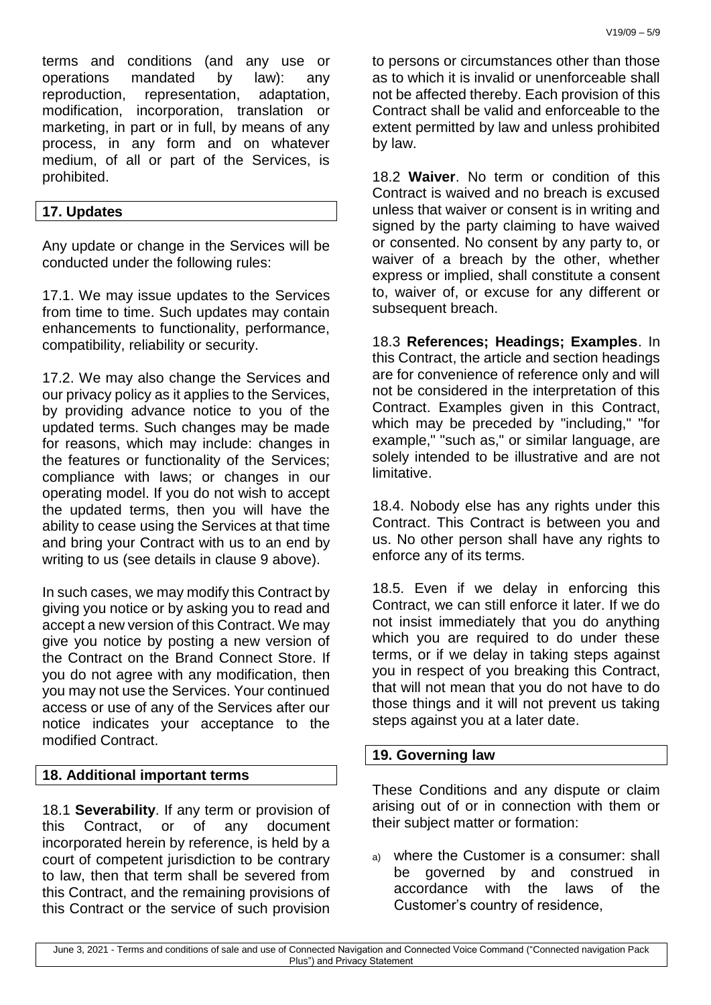terms and conditions (and any use or operations mandated by law): any reproduction, representation, adaptation, modification, incorporation, translation or marketing, in part or in full, by means of any process, in any form and on whatever medium, of all or part of the Services, is prohibited.

#### **17. Updates**

Any update or change in the Services will be conducted under the following rules:

17.1. We may issue updates to the Services from time to time. Such updates may contain enhancements to functionality, performance, compatibility, reliability or security.

17.2. We may also change the Services and our privacy policy as it applies to the Services, by providing advance notice to you of the updated terms. Such changes may be made for reasons, which may include: changes in the features or functionality of the Services; compliance with laws; or changes in our operating model. If you do not wish to accept the updated terms, then you will have the ability to cease using the Services at that time and bring your Contract with us to an end by writing to us (see details in clause 9 above).

In such cases, we may modify this Contract by giving you notice or by asking you to read and accept a new version of this Contract. We may give you notice by posting a new version of the Contract on the Brand Connect Store. If you do not agree with any modification, then you may not use the Services. Your continued access or use of any of the Services after our notice indicates your acceptance to the modified Contract.

#### **18. Additional important terms**

18.1 **Severability**. If any term or provision of this Contract, or of any document incorporated herein by reference, is held by a court of competent jurisdiction to be contrary to law, then that term shall be severed from this Contract, and the remaining provisions of this Contract or the service of such provision to persons or circumstances other than those as to which it is invalid or unenforceable shall not be affected thereby. Each provision of this Contract shall be valid and enforceable to the extent permitted by law and unless prohibited by law.

18.2 **Waiver**. No term or condition of this Contract is waived and no breach is excused unless that waiver or consent is in writing and signed by the party claiming to have waived or consented. No consent by any party to, or waiver of a breach by the other, whether express or implied, shall constitute a consent to, waiver of, or excuse for any different or subsequent breach.

18.3 **References; Headings; Examples**. In this Contract, the article and section headings are for convenience of reference only and will not be considered in the interpretation of this Contract. Examples given in this Contract, which may be preceded by "including," "for example," "such as," or similar language, are solely intended to be illustrative and are not limitative.

18.4. Nobody else has any rights under this Contract. This Contract is between you and us. No other person shall have any rights to enforce any of its terms.

18.5. Even if we delay in enforcing this Contract, we can still enforce it later. If we do not insist immediately that you do anything which you are required to do under these terms, or if we delay in taking steps against you in respect of you breaking this Contract, that will not mean that you do not have to do those things and it will not prevent us taking steps against you at a later date.

#### **19. Governing law**

These Conditions and any dispute or claim arising out of or in connection with them or their subject matter or formation:

a) where the Customer is a consumer: shall be governed by and construed in accordance with the laws of the Customer's country of residence,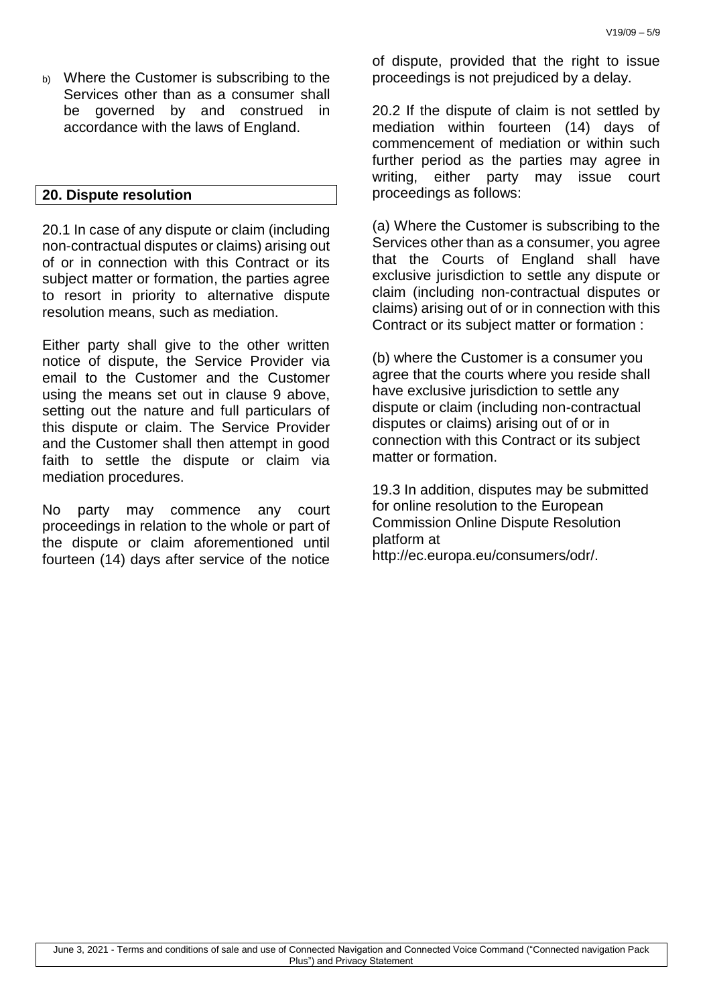b) Where the Customer is subscribing to the Services other than as a consumer shall be governed by and construed in accordance with the laws of England.

#### **20. Dispute resolution**

20.1 In case of any dispute or claim (including non-contractual disputes or claims) arising out of or in connection with this Contract or its subject matter or formation, the parties agree to resort in priority to alternative dispute resolution means, such as mediation.

Either party shall give to the other written notice of dispute, the Service Provider via email to the Customer and the Customer using the means set out in clause 9 above, setting out the nature and full particulars of this dispute or claim. The Service Provider and the Customer shall then attempt in good faith to settle the dispute or claim via mediation procedures.

No party may commence any court proceedings in relation to the whole or part of the dispute or claim aforementioned until fourteen (14) days after service of the notice of dispute, provided that the right to issue proceedings is not prejudiced by a delay.

20.2 If the dispute of claim is not settled by mediation within fourteen (14) days of commencement of mediation or within such further period as the parties may agree in writing, either party may issue court proceedings as follows:

(a) Where the Customer is subscribing to the Services other than as a consumer, you agree that the Courts of England shall have exclusive jurisdiction to settle any dispute or claim (including non-contractual disputes or claims) arising out of or in connection with this Contract or its subject matter or formation :

(b) where the Customer is a consumer you agree that the courts where you reside shall have exclusive jurisdiction to settle any dispute or claim (including non-contractual disputes or claims) arising out of or in connection with this Contract or its subject matter or formation.

19.3 In addition, disputes may be submitted for online resolution to the European Commission Online Dispute Resolution platform at

http://ec.europa.eu/consumers/odr/.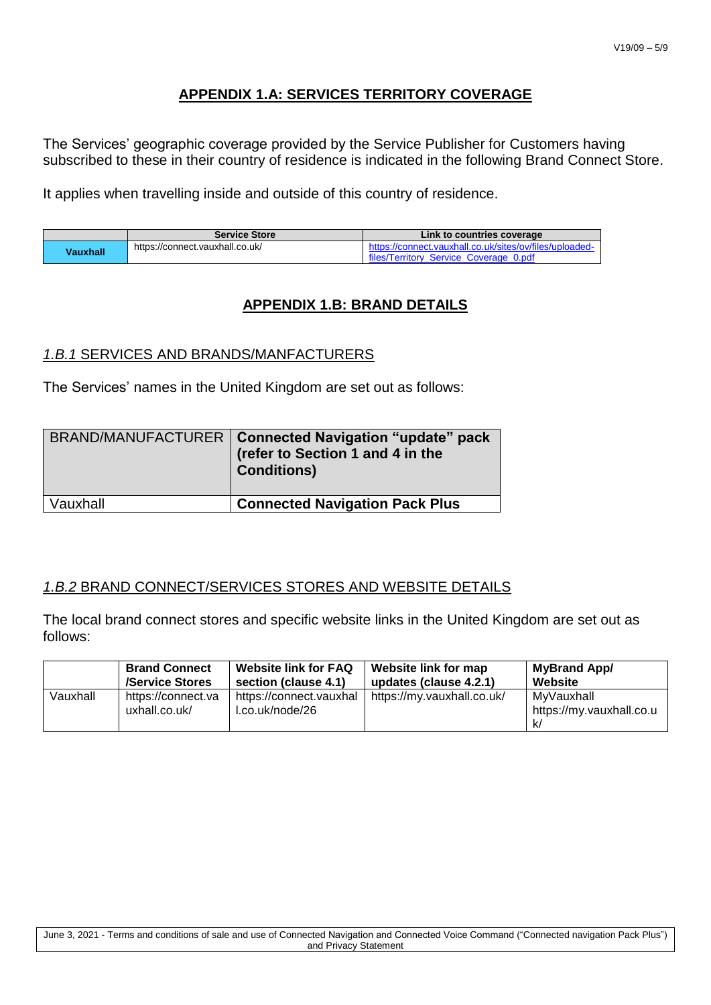# **APPENDIX 1.A: SERVICES TERRITORY COVERAGE**

The Services' geographic coverage provided by the Service Publisher for Customers having subscribed to these in their country of residence is indicated in the following Brand Connect Store.

It applies when travelling inside and outside of this country of residence.

|          | <b>Service Store</b>            | Link to countries coverage                                                                        |
|----------|---------------------------------|---------------------------------------------------------------------------------------------------|
| Vauxhall | https://connect.vauxhall.co.uk/ | https://connect.yauxhall.co.uk/sites/ov/files/uploaded-<br>files/Territory Service Coverage 0.pdf |

# **APPENDIX 1.B: BRAND DETAILS**

### *1.B.1* SERVICES AND BRANDS/MANFACTURERS

The Services' names in the United Kingdom are set out as follows:

|          | BRAND/MANUFACTURER   Connected Navigation "update" pack<br>(refer to Section 1 and 4 in the<br><b>Conditions)</b> |
|----------|-------------------------------------------------------------------------------------------------------------------|
| Vauxhall | <b>Connected Navigation Pack Plus</b>                                                                             |

### *1.B.2* BRAND CONNECT/SERVICES STORES AND WEBSITE DETAILS

The local brand connect stores and specific website links in the United Kingdom are set out as follows:

|          | <b>Brand Connect</b>                | <b>Website link for FAQ</b>                | Website link for map       | MyBrand App/                           |
|----------|-------------------------------------|--------------------------------------------|----------------------------|----------------------------------------|
|          | /Service Stores                     | section (clause 4.1)                       | updates (clause 4.2.1)     | Website                                |
| Vauxhall | https://connect.va<br>uxhall.co.uk/ | https://connect.vauxhal<br>l.co.uk/node/26 | https://my.vauxhall.co.uk/ | MyVauxhall<br>https://my.vauxhall.co.u |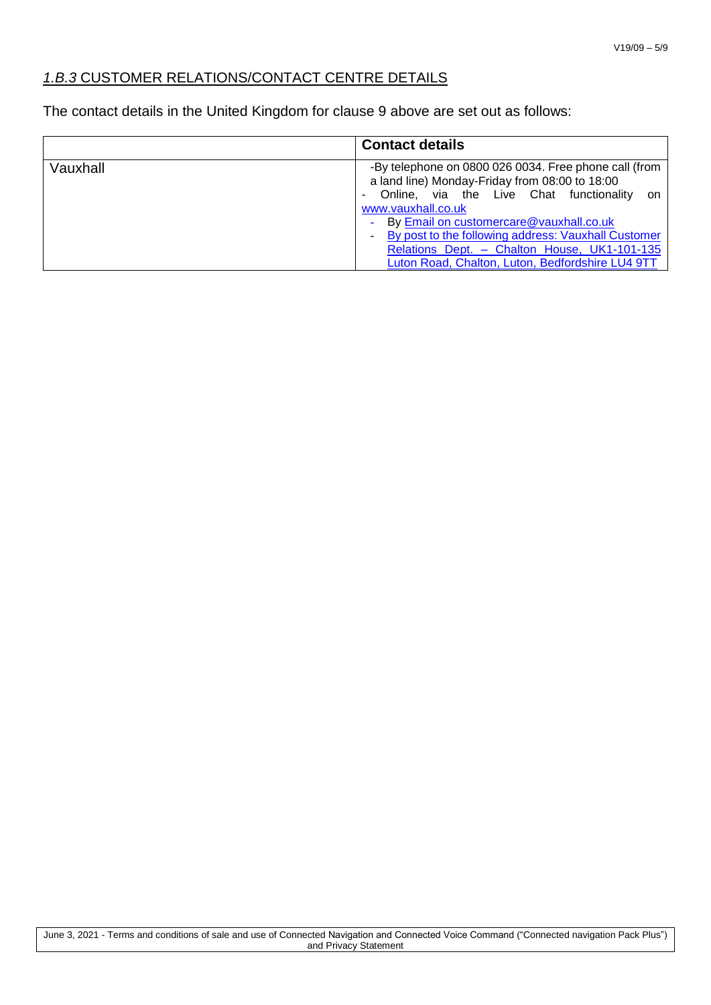# *1.B.3* CUSTOMER RELATIONS/CONTACT CENTRE DETAILS

The contact details in the United Kingdom for clause 9 above are set out as follows:

|          | <b>Contact details</b>                                                                                                                                                                                                                                                                                                                                                                       |
|----------|----------------------------------------------------------------------------------------------------------------------------------------------------------------------------------------------------------------------------------------------------------------------------------------------------------------------------------------------------------------------------------------------|
| Vauxhall | -By telephone on 0800 026 0034. Free phone call (from<br>a land line) Monday-Friday from 08:00 to 18:00<br>Online, via the Live Chat functionality<br>.on<br>www.vauxhall.co.uk<br>By <b>Email on customercare@vauxhall.co.uk</b><br>By post to the following address: Vauxhall Customer<br>Relations Dept. - Chalton House, UK1-101-135<br>Luton Road, Chalton, Luton, Bedfordshire LU4 9TT |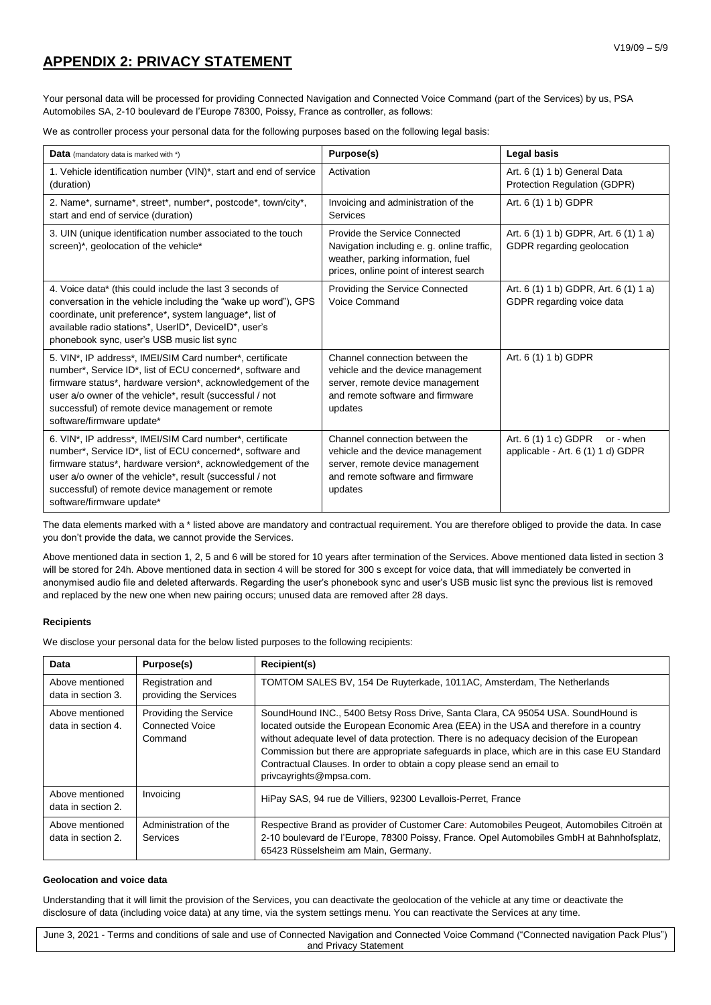# **APPENDIX 2: PRIVACY STATEMENT**

Your personal data will be processed for providing Connected Navigation and Connected Voice Command (part of the Services) by us, PSA Automobiles SA, 2-10 boulevard de l'Europe 78300, Poissy, France as controller, as follows:

We as controller process your personal data for the following purposes based on the following legal basis:

| Data (mandatory data is marked with *)                                                                                                                                                                                                                                                                                              | Purpose(s)                                                                                                                                                   | Legal basis                                                            |
|-------------------------------------------------------------------------------------------------------------------------------------------------------------------------------------------------------------------------------------------------------------------------------------------------------------------------------------|--------------------------------------------------------------------------------------------------------------------------------------------------------------|------------------------------------------------------------------------|
| 1. Vehicle identification number (VIN)*, start and end of service<br>(duration)                                                                                                                                                                                                                                                     | Activation                                                                                                                                                   | Art. 6 (1) 1 b) General Data<br>Protection Regulation (GDPR)           |
| 2. Name*, surname*, street*, number*, postcode*, town/city*,<br>start and end of service (duration)                                                                                                                                                                                                                                 | Invoicing and administration of the<br><b>Services</b>                                                                                                       | Art. 6 (1) 1 b) GDPR                                                   |
| 3. UIN (unique identification number associated to the touch<br>screen)*, geolocation of the vehicle*                                                                                                                                                                                                                               | Provide the Service Connected<br>Navigation including e. g. online traffic,<br>weather, parking information, fuel<br>prices, online point of interest search | Art. 6 (1) 1 b) GDPR, Art. 6 (1) 1 a)<br>GDPR regarding geolocation    |
| 4. Voice data* (this could include the last 3 seconds of<br>conversation in the vehicle including the "wake up word"), GPS<br>coordinate, unit preference*, system language*, list of<br>available radio stations*, UserID*, DeviceID*, user's<br>phonebook sync, user's USB music list sync                                        | Providing the Service Connected<br>Voice Command                                                                                                             | Art. 6 (1) 1 b) GDPR, Art. 6 (1) 1 a)<br>GDPR regarding voice data     |
| 5. VIN*, IP address*, IMEI/SIM Card number*, certificate<br>number*, Service ID*, list of ECU concerned*, software and<br>firmware status*, hardware version*, acknowledgement of the<br>user a/o owner of the vehicle*, result (successful / not<br>successful) of remote device management or remote<br>software/firmware update* | Channel connection between the<br>vehicle and the device management<br>server, remote device management<br>and remote software and firmware<br>updates       | Art. 6 (1) 1 b) GDPR                                                   |
| 6. VIN*, IP address*, IMEI/SIM Card number*, certificate<br>number*, Service ID*, list of ECU concerned*, software and<br>firmware status*, hardware version*, acknowledgement of the<br>user a/o owner of the vehicle*, result (successful / not<br>successful) of remote device management or remote<br>software/firmware update* | Channel connection between the<br>vehicle and the device management<br>server, remote device management<br>and remote software and firmware<br>updates       | Art. 6 (1) 1 c) GDPR<br>or - when<br>applicable - Art. 6 (1) 1 d) GDPR |

The data elements marked with a \* listed above are mandatory and contractual requirement. You are therefore obliged to provide the data. In case you don't provide the data, we cannot provide the Services.

Above mentioned data in section 1, 2, 5 and 6 will be stored for 10 years after termination of the Services. Above mentioned data listed in section 3 will be stored for 24h. Above mentioned data in section 4 will be stored for 300 s except for voice data, that will immediately be converted in anonymised audio file and deleted afterwards. Regarding the user's phonebook sync and user's USB music list sync the previous list is removed and replaced by the new one when new pairing occurs; unused data are removed after 28 days.

#### **Recipients**

We disclose your personal data for the below listed purposes to the following recipients:

| Data                                  | Purpose(s)                                                        | Recipient(s)                                                                                                                                                                                                                                                                                                                                                                                                                                                                |
|---------------------------------------|-------------------------------------------------------------------|-----------------------------------------------------------------------------------------------------------------------------------------------------------------------------------------------------------------------------------------------------------------------------------------------------------------------------------------------------------------------------------------------------------------------------------------------------------------------------|
| Above mentioned<br>data in section 3. | Registration and<br>providing the Services                        | TOMTOM SALES BV, 154 De Ruyterkade, 1011AC, Amsterdam, The Netherlands                                                                                                                                                                                                                                                                                                                                                                                                      |
| Above mentioned<br>data in section 4. | <b>Providing the Service</b><br><b>Connected Voice</b><br>Command | SoundHound INC., 5400 Betsy Ross Drive, Santa Clara, CA 95054 USA. SoundHound is<br>located outside the European Economic Area (EEA) in the USA and therefore in a country<br>without adequate level of data protection. There is no adequacy decision of the European<br>Commission but there are appropriate safeguards in place, which are in this case EU Standard<br>Contractual Clauses. In order to obtain a copy please send an email to<br>privcayrights@mpsa.com. |
| Above mentioned<br>data in section 2. | Invoicing                                                         | HiPay SAS, 94 rue de Villiers, 92300 Levallois-Perret, France                                                                                                                                                                                                                                                                                                                                                                                                               |
| Above mentioned<br>data in section 2. | Administration of the<br>Services                                 | Respective Brand as provider of Customer Care: Automobiles Peugeot, Automobiles Citroën at<br>2-10 boulevard de l'Europe, 78300 Poissy, France. Opel Automobiles GmbH at Bahnhofsplatz,<br>65423 Rüsselsheim am Main, Germany.                                                                                                                                                                                                                                              |

#### **Geolocation and voice data**

Understanding that it will limit the provision of the Services, you can deactivate the geolocation of the vehicle at any time or deactivate the disclosure of data (including voice data) at any time, via the system settings menu. You can reactivate the Services at any time.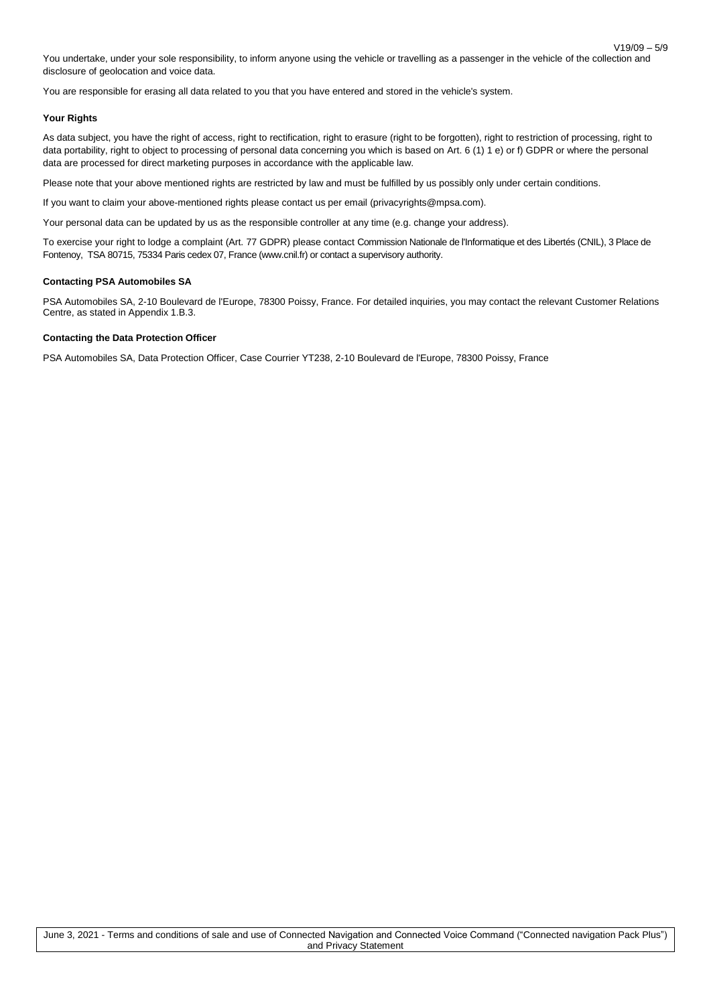V19/09 – 5/9 You undertake, under your sole responsibility, to inform anyone using the vehicle or travelling as a passenger in the vehicle of the collection and disclosure of geolocation and voice data.

You are responsible for erasing all data related to you that you have entered and stored in the vehicle's system.

#### **Your Rights**

As data subject, you have the right of access, right to rectification, right to erasure (right to be forgotten), right to restriction of processing, right to data portability, right to object to processing of personal data concerning you which is based on Art. 6 (1) 1 e) or f) GDPR or where the personal data are processed for direct marketing purposes in accordance with the applicable law.

Please note that your above mentioned rights are restricted by law and must be fulfilled by us possibly only under certain conditions.

If you want to claim your above-mentioned rights please contact us per email (privacyrights@mpsa.com).

Your personal data can be updated by us as the responsible controller at any time (e.g. change your address).

To exercise your right to lodge a complaint (Art. 77 GDPR) please contact Commission Nationale de l'Informatique et des Libertés (CNIL), 3 Place de Fontenoy, TSA 80715, 75334 Paris cedex 07, France (www.cnil.fr) or contact a supervisory authority.

#### **Contacting PSA Automobiles SA**

PSA Automobiles SA, 2-10 Boulevard de l'Europe, 78300 Poissy, France. For detailed inquiries, you may contact the relevant Customer Relations Centre, as stated in Appendix 1.B.3.

#### **Contacting the Data Protection Officer**

PSA Automobiles SA, Data Protection Officer, Case Courrier YT238, 2-10 Boulevard de l'Europe, 78300 Poissy, France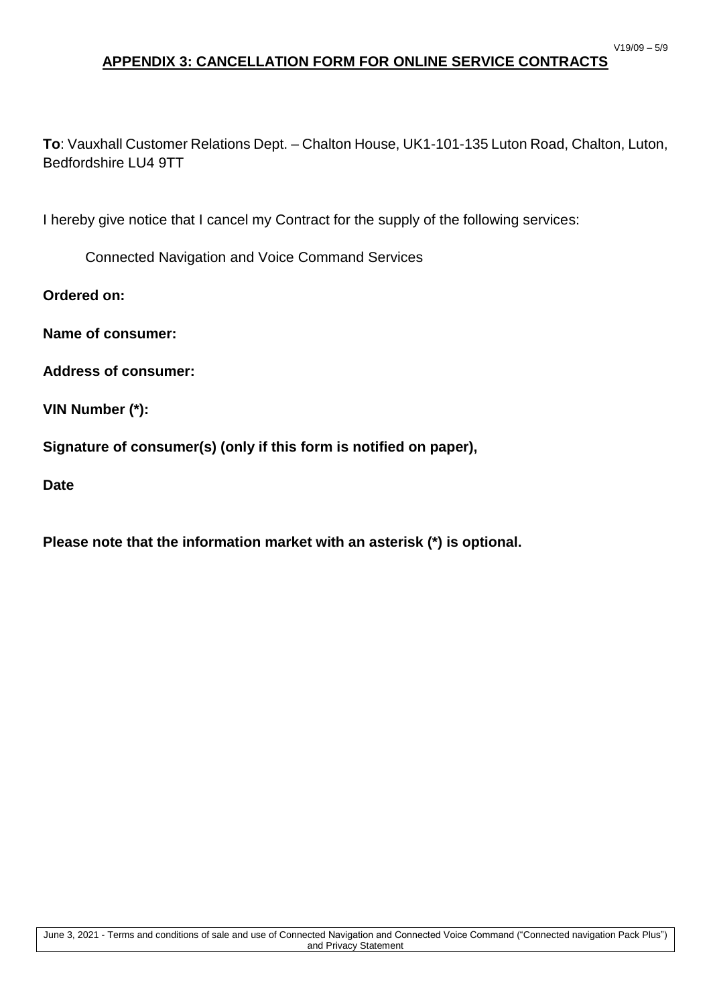# **APPENDIX 3: CANCELLATION FORM FOR ONLINE SERVICE CONTRACTS**

**To**: Vauxhall Customer Relations Dept. – Chalton House, UK1-101-135 Luton Road, Chalton, Luton, Bedfordshire LU4 9TT

I hereby give notice that I cancel my Contract for the supply of the following services:

Connected Navigation and Voice Command Services

**Ordered on:**

**Name of consumer:**

**Address of consumer:**

**VIN Number (\*):**

**Signature of consumer(s) (only if this form is notified on paper),**

**Date**

**Please note that the information market with an asterisk (\*) is optional.**